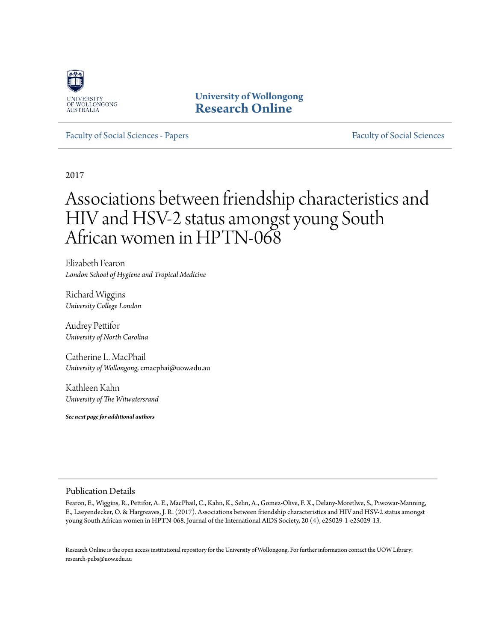

**University of Wollongong [Research Online](http://ro.uow.edu.au)**

[Faculty of Social Sciences - Papers](http://ro.uow.edu.au/sspapers) [Faculty of Social Sciences](http://ro.uow.edu.au/ss) - Papers Faculty of Social Sciences

2017

# Associations between friendship characteristics and HIV and HSV-2 status amongst young South African women in HPTN-068

Elizabeth Fearon *London School of Hygiene and Tropical Medicine*

Richard Wiggins *University College London*

Audrey Pettifor *University of North Carolina*

Catherine L. MacPhail *University of Wollongong*, cmacphai@uow.edu.au

Kathleen Kahn *University of The Witwatersrand*

*See next page for additional authors*

#### Publication Details

Fearon, E., Wiggins, R., Pettifor, A. E., MacPhail, C., Kahn, K., Selin, A., Gomez-Olive, F. X., Delany-Moretlwe, S., Piwowar-Manning, E., Laeyendecker, O. & Hargreaves, J. R. (2017). Associations between friendship characteristics and HIV and HSV-2 status amongst young South African women in HPTN-068. Journal of the International AIDS Society, 20 (4), e25029-1-e25029-13.

Research Online is the open access institutional repository for the University of Wollongong. For further information contact the UOW Library: research-pubs@uow.edu.au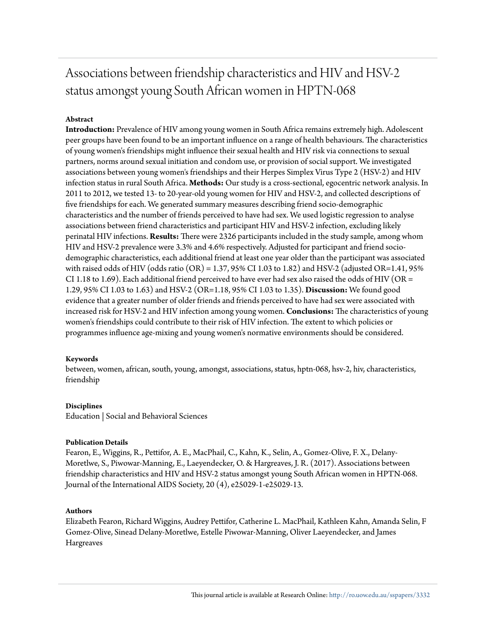## Associations between friendship characteristics and HIV and HSV-2 status amongst young South African women in HPTN-068

### **Abstract**

**Introduction:** Prevalence of HIV among young women in South Africa remains extremely high. Adolescent peer groups have been found to be an important influence on a range of health behaviours. The characteristics of young women's friendships might influence their sexual health and HIV risk via connections to sexual partners, norms around sexual initiation and condom use, or provision of social support. We investigated associations between young women's friendships and their Herpes Simplex Virus Type 2 (HSV-2) and HIV infection status in rural South Africa. **Methods:** Our study is a cross-sectional, egocentric network analysis. In 2011 to 2012, we tested 13- to 20-year-old young women for HIV and HSV-2, and collected descriptions of five friendships for each. We generated summary measures describing friend socio-demographic characteristics and the number of friends perceived to have had sex. We used logistic regression to analyse associations between friend characteristics and participant HIV and HSV-2 infection, excluding likely perinatal HIV infections. **Results:** There were 2326 participants included in the study sample, among whom HIV and HSV-2 prevalence were 3.3% and 4.6% respectively. Adjusted for participant and friend sociodemographic characteristics, each additional friend at least one year older than the participant was associated with raised odds of HIV (odds ratio  $(OR) = 1.37, 95\%$  CI 1.03 to 1.82) and HSV-2 (adjusted OR=1.41, 95% CI 1.18 to 1.69). Each additional friend perceived to have ever had sex also raised the odds of HIV (OR = 1.29, 95% CI 1.03 to 1.63) and HSV-2 (OR=1.18, 95% CI 1.03 to 1.35). **Discussion:** We found good evidence that a greater number of older friends and friends perceived to have had sex were associated with increased risk for HSV-2 and HIV infection among young women. **Conclusions:** The characteristics of young women's friendships could contribute to their risk of HIV infection. The extent to which policies or programmes influence age-mixing and young women's normative environments should be considered.

#### **Keywords**

between, women, african, south, young, amongst, associations, status, hptn-068, hsv-2, hiv, characteristics, friendship

#### **Disciplines**

Education | Social and Behavioral Sciences

#### **Publication Details**

Fearon, E., Wiggins, R., Pettifor, A. E., MacPhail, C., Kahn, K., Selin, A., Gomez-Olive, F. X., Delany-Moretlwe, S., Piwowar-Manning, E., Laeyendecker, O. & Hargreaves, J. R. (2017). Associations between friendship characteristics and HIV and HSV-2 status amongst young South African women in HPTN-068. Journal of the International AIDS Society, 20 (4), e25029-1-e25029-13.

#### **Authors**

Elizabeth Fearon, Richard Wiggins, Audrey Pettifor, Catherine L. MacPhail, Kathleen Kahn, Amanda Selin, F Gomez-Olive, Sinead Delany-Moretlwe, Estelle Piwowar-Manning, Oliver Laeyendecker, and James Hargreaves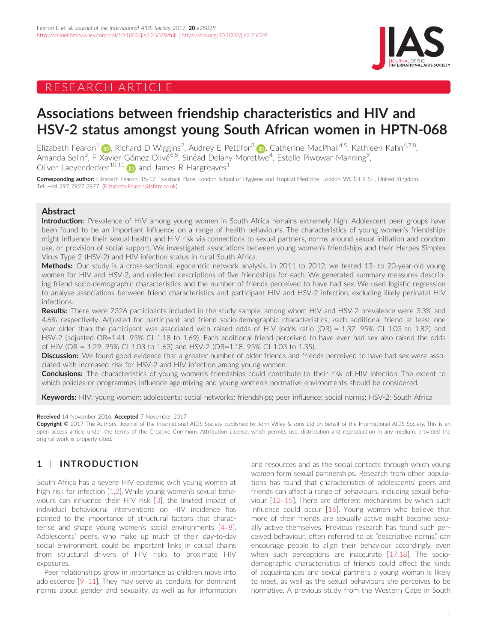## RESEARCH ARTICLE



## Associations between friendship characteristics and HIV and HSV-2 status amongst young South African women in HPTN-068

Elizabeth Fearon<sup>[1](http://orcid.org/0000-0001-5574-251X)</sup> (**p**), Richard D Wiggins<sup>2</sup>, Audrey E Pettifor<sup>3</sup> (**p**), Catherine MacPhail<sup>4,5</sup>, Kathleen Kahn<sup>6,7,8</sup>, Amanda Selin<sup>3</sup>, F Xavier Gómez-Olivé<sup>6,8</sup>, Sinéad Delany-Moretlwe<sup>4</sup>, Estelle Piwowar-Manning<sup>9</sup> , Oliver Laevendecker<sup>10,11</sup>  $\Box$  and James R Hargreaves<sup>1</sup>

Corresponding author: Elizabeth Fearon, 15-17 Tavistock Place, London School of Hygiene and Tropical Medicine, London, WC1H 9 SH, United Kingdom. Tel: +44 297 7927 2877. ([Elizabeth.Fearon@lshtm.ac.uk](mailto:Elizabeth.Fearon@lshtm.ac.uk))

#### Abstract

Introduction: Prevalence of HIV among young women in South Africa remains extremely high. Adolescent peer groups have been found to be an important influence on a range of health behaviours. The characteristics of young women's friendships might influence their sexual health and HIV risk via connections to sexual partners, norms around sexual initiation and condom use, or provision of social support. We investigated associations between young women's friendships and their Herpes Simplex Virus Type 2 (HSV-2) and HIV infection status in rural South Africa.

Methods: Our study is a cross-sectional, egocentric network analysis. In 2011 to 2012, we tested 13- to 20-year-old young women for HIV and HSV-2, and collected descriptions of five friendships for each. We generated summary measures describing friend socio-demographic characteristics and the number of friends perceived to have had sex. We used logistic regression to analyse associations between friend characteristics and participant HIV and HSV-2 infection, excluding likely perinatal HIV infections.

Results: There were 2326 participants included in the study sample, among whom HIV and HSV-2 prevalence were 3.3% and 4.6% respectively. Adjusted for participant and friend socio-demographic characteristics, each additional friend at least one year older than the participant was associated with raised odds of HIV (odds ratio (OR) = 1.37, 95% CI 1.03 to 1.82) and HSV-2 (adjusted OR=1.41, 95% CI 1.18 to 1.69). Each additional friend perceived to have ever had sex also raised the odds of HIV (OR = 1.29, 95% CI 1.03 to 1.63) and HSV-2 (OR=1.18, 95% CI 1.03 to 1.35).

Discussion: We found good evidence that a greater number of older friends and friends perceived to have had sex were associated with increased risk for HSV-2 and HIV infection among young women.

Conclusions: The characteristics of young women's friendships could contribute to their risk of HIV infection. The extent to which policies or programmes influence age-mixing and young women's normative environments should be considered.

Keywords: HIV; young women; adolescents; social networks; friendships; peer influence; social norms; HSV-2; South Africa

#### Received 14 November 2016; Accepted 7 November 2017

Copyright © 2017 The Authors. Journal of the International AIDS Society published by John Wiley & sons Ltd on behalf of the International AIDS Society. This is an open access article under the terms of the [Creative Commons Attribution](http://creativecommons.org/licenses/by/4.0/) License, which permits use, distribution and reproduction in any medium, provided the original work is properly cited.

## 1 | INTRODUCTION

South Africa has a severe HIV epidemic with young women at high risk for infection [[1,2](#page-9-0)]. While young women's sexual behaviours can influence their HIV risk [\[3](#page-9-0)], the limited impact of individual behavioural interventions on HIV incidence has pointed to the importance of structural factors that characterise and shape young women's social environments [\[4](#page-9-0)–8]. Adolescents' peers, who make up much of their day-to-day social environment, could be important links in causal chains from structural drivers of HIV risks to proximate HIV exposures.

Peer relationships grow in importance as children move into adolescence [\[9](#page-10-0)–[11](#page-10-0)]. They may serve as conduits for dominant norms about gender and sexuality, as well as for information

and resources and as the social contacts through which young women form sexual partnerships. Research from other populations has found that characteristics of adolescents' peers and friends can affect a range of behaviours, including sexual behaviour [[12](#page-10-0)–[15\]](#page-10-0). There are different mechanisms by which such influence could occur [[16\]](#page-10-0). Young women who believe that more of their friends are sexually active might become sexually active themselves. Previous research has found such perceived behaviour, often referred to as "descriptive norms," can encourage people to align their behaviour accordingly, even when such perceptions are inaccurate [[17,18](#page-10-0)]. The sociodemographic characteristics of friends could affect the kinds of acquaintances and sexual partners a young woman is likely to meet, as well as the sexual behaviours she perceives to be normative. A previous study from the Western Cape in South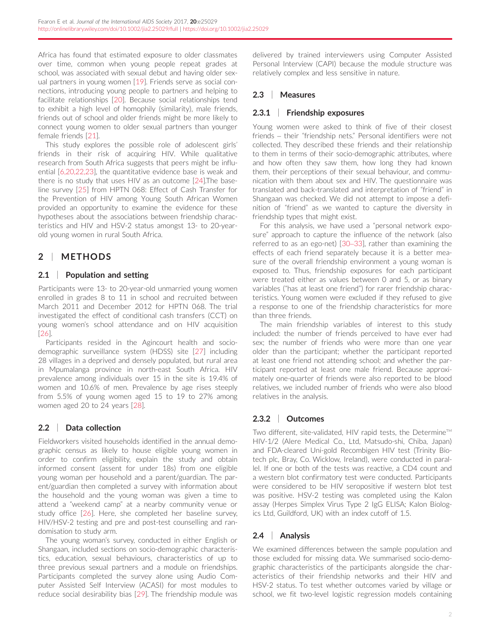Africa has found that estimated exposure to older classmates over time, common when young people repeat grades at school, was associated with sexual debut and having older sexual partners in young women [\[19](#page-10-0)]. Friends serve as social connections, introducing young people to partners and helping to facilitate relationships [[20\]](#page-10-0). Because social relationships tend to exhibit a high level of homophily (similarity), male friends, friends out of school and older friends might be more likely to connect young women to older sexual partners than younger female friends [[21](#page-10-0)].

This study explores the possible role of adolescent girls' friends in their risk of acquiring HIV. While qualitative research from South Africa suggests that peers might be influential [\[6,20,22,23](#page-10-0)], the quantitative evidence base is weak and there is no study that uses HIV as an outcome [\[24](#page-10-0)].The baseline survey [\[25\]](#page-10-0) from HPTN 068: Effect of Cash Transfer for the Prevention of HIV among Young South African Women provided an opportunity to examine the evidence for these hypotheses about the associations between friendship characteristics and HIV and HSV-2 status amongst 13- to 20-yearold young women in rural South Africa.

## 2 | METHODS

#### 2.1 | Population and setting

Participants were 13- to 20-year-old unmarried young women enrolled in grades 8 to 11 in school and recruited between March 2011 and December 2012 for HPTN 068. The trial investigated the effect of conditional cash transfers (CCT) on young women's school attendance and on HIV acquisition [\[26](#page-10-0)].

Participants resided in the Agincourt health and sociodemographic surveillance system (HDSS) site [\[27\]](#page-10-0) including 28 villages in a deprived and densely populated, but rural area in Mpumalanga province in north-east South Africa. HIV prevalence among individuals over 15 in the site is 19.4% of women and 10.6% of men. Prevalence by age rises steeply from 5.5% of young women aged 15 to 19 to 27% among women aged 20 to 24 years [\[28\]](#page-10-0).

## 2.2 | Data collection

Fieldworkers visited households identified in the annual demographic census as likely to house eligible young women in order to confirm eligibility, explain the study and obtain informed consent (assent for under 18s) from one eligible young woman per household and a parent/guardian. The parent/guardian then completed a survey with information about the household and the young woman was given a time to attend a "weekend camp" at a nearby community venue or study office [[26](#page-10-0)]. Here, she completed her baseline survey, HIV/HSV-2 testing and pre and post-test counselling and randomisation to study arm.

The young woman's survey, conducted in either English or Shangaan, included sections on socio-demographic characteristics, education, sexual behaviours, characteristics of up to three previous sexual partners and a module on friendships. Participants completed the survey alone using Audio Computer Assisted Self Interview (ACASI) for most modules to reduce social desirability bias [[29\]](#page-10-0). The friendship module was

delivered by trained interviewers using Computer Assisted Personal Interview (CAPI) because the module structure was relatively complex and less sensitive in nature.

## 2.3 | Measures

#### 2.3.1 | Friendship exposures

Young women were asked to think of five of their closest friends – their "friendship nets." Personal identifiers were not collected. They described these friends and their relationship to them in terms of their socio-demographic attributes, where and how often they saw them, how long they had known them, their perceptions of their sexual behaviour, and communication with them about sex and HIV. The questionnaire was translated and back-translated and interpretation of "friend" in Shangaan was checked. We did not attempt to impose a definition of "friend" as we wanted to capture the diversity in friendship types that might exist.

For this analysis, we have used a "personal network exposure" approach to capture the influence of the network (also referred to as an ego-net) [\[30](#page-10-0)–33], rather than examining the effects of each friend separately because it is a better measure of the overall friendship environment a young woman is exposed to. Thus, friendship exposures for each participant were treated either as values between 0 and 5, or as binary variables ("has at least one friend") for rarer friendship characteristics. Young women were excluded if they refused to give a response to one of the friendship characteristics for more than three friends.

The main friendship variables of interest to this study included: the number of friends perceived to have ever had sex; the number of friends who were more than one year older than the participant; whether the participant reported at least one friend not attending school; and whether the participant reported at least one male friend. Because approximately one-quarter of friends were also reported to be blood relatives, we included number of friends who were also blood relatives in the analysis.

#### 2.3.2 | Outcomes

Two different, site-validated, HIV rapid tests, the Determine™ HIV-1/2 (Alere Medical Co., Ltd, Matsudo-shi, Chiba, Japan) and FDA-cleared Uni-gold Recombigen HIV test (Trinity Biotech plc, Bray, Co. Wicklow, Ireland), were conducted in parallel. If one or both of the tests was reactive, a CD4 count and a western blot confirmatory test were conducted. Participants were considered to be HIV seropositive if western blot test was positive. HSV-2 testing was completed using the Kalon assay (Herpes Simplex Virus Type 2 IgG ELISA; Kalon Biologics Ltd, Guildford, UK) with an index cutoff of 1.5.

## 2.4 | Analysis

We examined differences between the sample population and those excluded for missing data. We summarised socio-demographic characteristics of the participants alongside the characteristics of their friendship networks and their HIV and HSV-2 status. To test whether outcomes varied by village or school, we fit two-level logistic regression models containing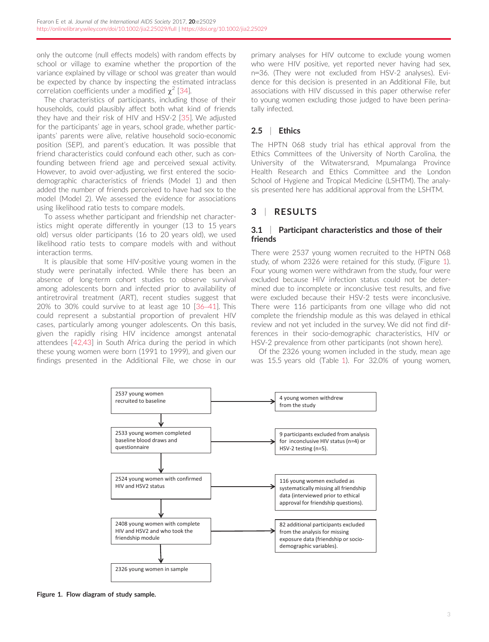only the outcome (null effects models) with random effects by school or village to examine whether the proportion of the variance explained by village or school was greater than would be expected by chance by inspecting the estimated intraclass correlation coefficients under a modified  $\chi^2$  [[34](#page-10-0)].

The characteristics of participants, including those of their households, could plausibly affect both what kind of friends they have and their risk of HIV and HSV-2 [[35](#page-10-0)]. We adjusted for the participants' age in years, school grade, whether participants' parents were alive, relative household socio-economic position (SEP), and parent's education. It was possible that friend characteristics could confound each other, such as confounding between friend age and perceived sexual activity. However, to avoid over-adjusting, we first entered the sociodemographic characteristics of friends (Model 1) and then added the number of friends perceived to have had sex to the model (Model 2). We assessed the evidence for associations using likelihood ratio tests to compare models.

To assess whether participant and friendship net characteristics might operate differently in younger (13 to 15 years old) versus older participants (16 to 20 years old), we used likelihood ratio tests to compare models with and without interaction terms.

It is plausible that some HIV-positive young women in the study were perinatally infected. While there has been an absence of long-term cohort studies to observe survival among adolescents born and infected prior to availability of antiretroviral treatment (ART), recent studies suggest that 20% to 30% could survive to at least age 10 [[36](#page-10-0)–[41\]](#page-10-0). This could represent a substantial proportion of prevalent HIV cases, particularly among younger adolescents. On this basis, given the rapidly rising HIV incidence amongst antenatal attendees [\[42,43](#page-10-0)] in South Africa during the period in which these young women were born (1991 to 1999), and given our findings presented in the Additional File, we chose in our primary analyses for HIV outcome to exclude young women who were HIV positive, yet reported never having had sex, n=36. (They were not excluded from HSV-2 analyses). Evidence for this decision is presented in an Additional File, but associations with HIV discussed in this paper otherwise refer to young women excluding those judged to have been perinatally infected.

#### 2.5 | Ethics

The HPTN 068 study trial has ethical approval from the Ethics Committees of the University of North Carolina, the University of the Witwatersrand, Mpumalanga Province Health Research and Ethics Committee and the London School of Hygiene and Tropical Medicine (LSHTM). The analysis presented here has additional approval from the LSHTM.

### 3 | RESULTS

#### 3.1 | Participant characteristics and those of their friends

There were 2537 young women recruited to the HPTN 068 study, of whom 2326 were retained for this study, (Figure 1). Four young women were withdrawn from the study, four were excluded because HIV infection status could not be determined due to incomplete or inconclusive test results, and five were excluded because their HSV-2 tests were inconclusive. There were 116 participants from one village who did not complete the friendship module as this was delayed in ethical review and not yet included in the survey. We did not find differences in their socio-demographic characteristics, HIV or HSV-2 prevalence from other participants (not shown here).

Of the 2326 young women included in the study, mean age was 15.5 years old (Table [1](#page-5-0)). For 32.0% of young women,



Figure 1. Flow diagram of study sample.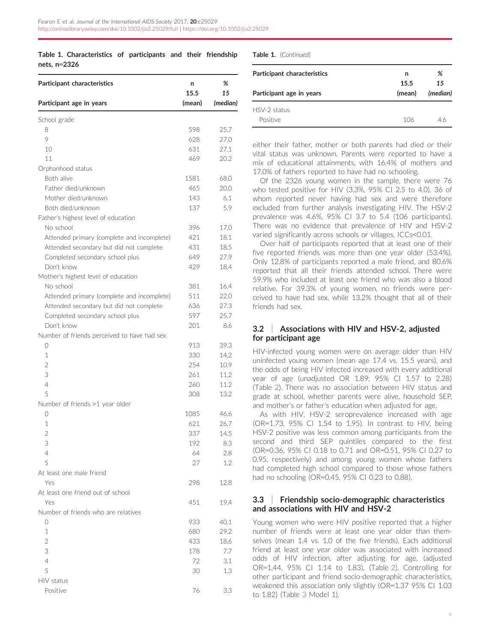#### <span id="page-5-0"></span>Table 1. Characteristics of participants and their friendship nets, n=2326

| Participant characteristics                 | n<br>15.5 | %<br>15  |
|---------------------------------------------|-----------|----------|
| Participant age in years                    | (mean)    | (median) |
| School grade                                |           |          |
| 8                                           | 598       | 25.7     |
| 9                                           | 628       | 27.0     |
| 10                                          | 631       | 27.1     |
| 11                                          | 469       | 20.2     |
| Orphanhood status                           |           |          |
| Both alive                                  | 1581      | 68.0     |
| Father died/unknown                         | 465       | 20.0     |
| Mother died/unknown                         | 143       | 6.1      |
| Both died/unknown                           | 137       | 5.9      |
| Father's highest level of education         |           |          |
| No school                                   | 396       | 17.0     |
| Attended primary (complete and incomplete)  | 421       | 18.1     |
| Attended secondary but did not complete     | 431       | 18.5     |
| Completed secondary school plus             | 649       | 27.9     |
| Don't know                                  | 429       | 18.4     |
| Mother's highest level of education         |           |          |
| No school                                   | 381       | 16.4     |
| Attended primary (complete and incomplete)  | 511       | 22.0     |
|                                             | 636       |          |
| Attended secondary but did not complete     |           | 27.3     |
| Completed secondary school plus             | 597       | 25.7     |
| Don't know                                  | 201       | 8.6      |
| Number of friends perceived to have had sex |           |          |
| $\bigcirc$                                  | 913       | 39.3     |
| 1                                           | 330       | 14.2     |
| $\overline{2}$                              | 254       | 10.9     |
| 3                                           | 261       | 11.2     |
| 4                                           | 260       | 11.2     |
| 5                                           | 308       | 13.2     |
| Number of friends >1 year older             |           |          |
| $\bigcirc$                                  | 1085      | 46.6     |
| $\mathbf{1}$                                | 621       | 26.7     |
| $\overline{2}$                              | 337       | 14.5     |
| 3                                           | 192       | 8.3      |
| 4                                           | 64        | 2.8      |
| 5                                           | 27        | 1.2      |
| At least one male friend                    |           |          |
| Yes                                         | 298       | 12.8     |
| At least one friend out of school           |           |          |
| Yes                                         | 451       | 19.4     |
| Number of friends who are relatives         |           |          |
| 0                                           | 933       | 40.1     |
| 1                                           | 680       | 29.2     |
| $\overline{2}$                              | 433       | 18.6     |
| 3                                           | 178       | 7.7      |
| 4                                           | 72        | 3.1      |
| 5                                           | 30        | 1.3      |
| HIV status                                  |           |          |
| Positive                                    | 76        | 3.3      |
|                                             |           |          |

Table 1. (Continued)

| Participant characteristics | n      | %        |
|-----------------------------|--------|----------|
|                             | 15.5   | 15       |
| Participant age in years    | (mean) | (median) |
| HSV-2 status                |        |          |
| Positive                    | 106    | 46       |

either their father, mother or both parents had died or their vital status was unknown. Parents were reported to have a mix of educational attainments, with 16.4% of mothers and 17.0% of fathers reported to have had no schooling.

Of the 2326 young women in the sample, there were 76 who tested positive for HIV (3.3%, 95% CI 2.5 to 4.0), 36 of whom reported never having had sex and were therefore excluded from further analysis investigating HIV. The HSV-2 prevalence was 4.6%, 95% CI 3.7 to 5.4 (106 participants). There was no evidence that prevalence of HIV and HSV-2 varied significantly across schools or villages, ICCs<0.01.

Over half of participants reported that at least one of their five reported friends was more than one year older (53.4%). Only 12.8% of participants reported a male friend, and 80.6% reported that all their friends attended school. There were 59.9% who included at least one friend who was also a blood relative. For 39.3% of young women, no friends were perceived to have had sex, while 13.2% thought that all of their friends had sex.

#### 3.2 | Associations with HIV and HSV-2, adjusted for participant age

HIV-infected young women were on average older than HIV uninfected young women (mean age 17.4 vs. 15.5 years), and the odds of being HIV infected increased with every additional year of age (unadjusted OR 1.89; 95% CI 1.57 to 2.28) (Table [2\)](#page-6-0). There was no association between HIV status and grade at school, whether parents were alive, household SEP, and mother's or father's education when adjusted for age.

As with HIV, HSV-2 seroprevalence increased with age (OR=1.73, 95% CI 1.54 to 1.95). In contrast to HIV, being HSV-2 positive was less common among participants from the second and third SEP quintiles compared to the first (OR=0.36, 95% CI 0.18 to 0.71 and OR=0.51, 95% CI 0.27 to 0.95, respectively) and among young women whose fathers had completed high school compared to those whose fathers had no schooling (OR=0.45, 95% CI 0.23 to 0.88).

#### 3.3 | Friendship socio-demographic characteristics and associations with HIV and HSV-2

Young women who were HIV positive reported that a higher number of friends were at least one year older than themselves (mean 1.4 vs. 1.0 of the five friends). Each additional friend at least one year older was associated with increased odds of HIV infection, after adjusting for age, (adjusted OR=1.44, 95% CI 1.14 to 1.83), (Table [2\)](#page-6-0). Controlling for other participant and friend socio-demographic characteristics, weakened this association only slightly (OR=1.37 95% CI 1.03 to 1.82) (Table [3](#page-7-0) Model 1).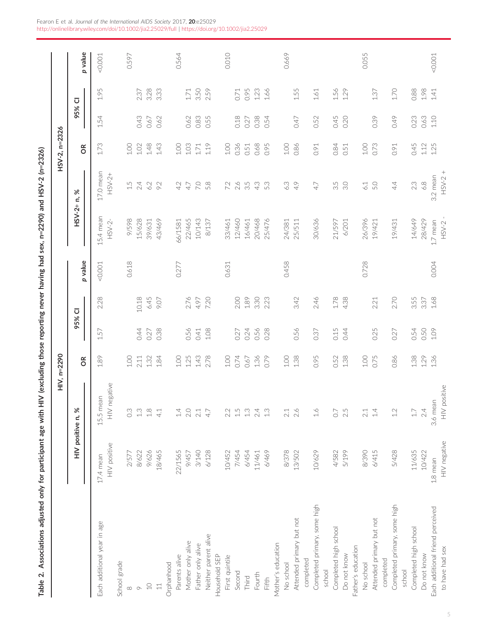| č                                                                                                              |  |
|----------------------------------------------------------------------------------------------------------------|--|
|                                                                                                                |  |
| l<br>Ì                                                                                                         |  |
|                                                                                                                |  |
|                                                                                                                |  |
| $\begin{array}{c}\n\bullet \\ \bullet \\ \bullet \\ \bullet\n\end{array}$                                      |  |
|                                                                                                                |  |
|                                                                                                                |  |
|                                                                                                                |  |
|                                                                                                                |  |
| $\sim$ 10000                                                                                                   |  |
|                                                                                                                |  |
| İ                                                                                                              |  |
|                                                                                                                |  |
|                                                                                                                |  |
|                                                                                                                |  |
| į                                                                                                              |  |
|                                                                                                                |  |
|                                                                                                                |  |
|                                                                                                                |  |
| ١                                                                                                              |  |
|                                                                                                                |  |
| ֦֖֖֖֧ׅ֧֧֧֧֧֧֪ׅ֧֧֪֧֪ׅ֧֪ׅ֧֪ׅ֧֪ׅ֧֪֪֧֪ׅ֧֪ׅ֧֪ׅ֧֪ׅ֧֧֪ׅ֧֪ׅ֧֪֧֪ׅ֧֪֧֚֚֚֚֚֚֚֚֚֚֚֚֚֚֚֚֚֚֚֚֚֚֚֚֚֘֝֝֟֓֝֬֝֓֝֬֝֬֓֝֬֓֝֬֓֓֝֬֓֝֬ |  |
|                                                                                                                |  |
|                                                                                                                |  |
| í                                                                                                              |  |
|                                                                                                                |  |
|                                                                                                                |  |
|                                                                                                                |  |
|                                                                                                                |  |
|                                                                                                                |  |
|                                                                                                                |  |
|                                                                                                                |  |
|                                                                                                                |  |
|                                                                                                                |  |
|                                                                                                                |  |
|                                                                                                                |  |
|                                                                                                                |  |
|                                                                                                                |  |
|                                                                                                                |  |
|                                                                                                                |  |
|                                                                                                                |  |
|                                                                                                                |  |
|                                                                                                                |  |
|                                                                                                                |  |
|                                                                                                                |  |
|                                                                                                                |  |
|                                                                                                                |  |
|                                                                                                                |  |
|                                                                                                                |  |
|                                                                                                                |  |
| ł<br>)                                                                                                         |  |
|                                                                                                                |  |
|                                                                                                                |  |
|                                                                                                                |  |
|                                                                                                                |  |
|                                                                                                                |  |
|                                                                                                                |  |
|                                                                                                                |  |
| $\overline{\phantom{a}}$                                                                                       |  |
| İ                                                                                                              |  |
| ė                                                                                                              |  |
| Ć                                                                                                              |  |
| =<br>5<br>İ                                                                                                    |  |
| ے<br>ج<br>ׇ֚֬֡<br>l                                                                                            |  |
|                                                                                                                |  |
|                                                                                                                |  |
|                                                                                                                |  |
|                                                                                                                |  |
|                                                                                                                |  |
|                                                                                                                |  |
|                                                                                                                |  |
|                                                                                                                |  |
|                                                                                                                |  |
|                                                                                                                |  |
|                                                                                                                |  |
|                                                                                                                |  |
|                                                                                                                |  |
|                                                                                                                |  |
| ١                                                                                                              |  |

|                                                                                                                   |                                              |                                            | HIV, n=2290                    |                      |                      |         |                                           |                                     | HSV-2, n=2326                  |                      |                          |         |
|-------------------------------------------------------------------------------------------------------------------|----------------------------------------------|--------------------------------------------|--------------------------------|----------------------|----------------------|---------|-------------------------------------------|-------------------------------------|--------------------------------|----------------------|--------------------------|---------|
|                                                                                                                   | HIV positive n, %                            |                                            | $\frac{R}{C}$                  | 95% CI               |                      | p value | $HSV-2+n, %$                              |                                     | δŘ                             | 95% CI               |                          | p value |
| Each additional year in age                                                                                       | HIV positive<br>17.4 mean                    | HIV negative<br>15.5 mean                  | 1.89                           | 1.57                 | 2.28                 | < 0.001 | 15.4 mean<br>$HSV-2-$                     | 17.0 mean<br>HSV-2+                 | 1.73                           | 1.54                 | 1.95                     | < 0.001 |
| School grade<br>$\circ$<br>$\infty$                                                                               | 8/622<br>2/577                               | $\degree$<br>$\mathop{\mathbb{C}}$ .       | 1.00<br>2.11                   | 0.44                 | 10.18                | 0.618   | 9/598<br>15/628                           | 1.5<br>2.4                          | 1.00<br>1.02                   | 0.43                 | 2.37                     | 0.597   |
| Orphanhood<br>$\Omega$<br>$11$                                                                                    | 9/626<br>18/465                              | $\frac{8}{1}$<br>4.1                       | 1.32<br>1.84                   | 0.38<br>0.27         | 6.45<br>9.07         |         | 43/469<br>39/631                          | 9.2<br>6.2                          | 1.48<br>1.43                   | 0.67<br>0.62         | 3.28<br>3.33             |         |
| Mother only alive<br>Parents alive                                                                                | 22/1565<br>9/457                             | 14<br>2.0                                  | $1.00$<br>1.25                 | 0.56                 | 2.76                 | 0.277   | 22/465<br>66/1581                         | 4.2<br>4.7                          | $1.00$<br>1.03                 | 0.62                 | $1.71\,$                 | 0.564   |
| Neither parent alive<br>Father only alive<br>Household SEP                                                        | 3/140<br>6/128                               | $2.1\,$<br>47                              | 1.43<br>2.78                   | 1.08<br>0.41         | 7.20<br>4.97         |         | 10/143<br>8/137                           | 7.0<br>5.8                          | 1.19<br>1.71                   | 0.83<br>0.55         | 3.50<br>2.59             |         |
| First quintile<br>Second<br>Fourth<br>Third                                                                       | 7/454<br>6/454<br>10/452<br>11/461           | 1.5<br>1.3<br>2.4<br>2.2                   | $1.00$<br>0.74<br>1.36<br>0.67 | 0.24<br>0.27<br>0.56 | 2.00<br>1.89<br>3.30 | 0.631   | 12/460<br>20/468<br>33/461<br>16/461      | 2.6<br>3.5<br>43<br>7.2             | 0.36<br>0.68<br>$1.00$<br>0.51 | 0.18<br>0.38<br>0.27 | 0.95<br>1.23<br>0.71     | 0.010   |
| Attended primary but not<br>Mother's education<br>No school<br>Fifth                                              | 6/469<br>8/378<br>13/502                     | 1.3<br>2.6<br>$2.1\,$                      | 0.79<br>$1.00$<br>1.38         | 0.56<br>0.28         | 3.42<br>2.23         | 0.458   | 25/476<br>24/381<br>25/511                | 53<br>6.3<br>4.9                    | 0.86<br>$1.00\,$<br>0.95       | 0.54<br>0.47         | 1.55<br>1.66             | 0.669   |
| Completed primary, some high<br>Completed high school<br>Father's education<br>Do not know<br>completed<br>school | 10/629<br>4/582<br>5/199                     | $\frac{6}{10}$<br>2.5<br>$\overline{O}$ .  | 0.95<br>0.52<br>1.38           | 0.37<br>0.15<br>0.44 | 2.46<br>1.78<br>4.38 |         | 30/636<br>21/597<br>6/201                 | 35<br>$30^{\circ}$<br>4.7           | 0.84<br>0.91<br>0.51           | 0.45<br>0.52<br>0.20 | 1.56<br>1.29<br>1.61     |         |
| Completed primary, some high<br>Attended primary but not<br>completed<br>No school<br>school                      | 6/415<br>5/428<br>8/390                      | $\overline{4}$<br>$1.2\,$<br>2.1           | 0.86<br>1.00<br>0.75           | 0.25<br>0.27         | 2.70<br>2.21         | 0.728   | 26/396<br>19/421<br>19/431                | 4.4<br>5.0<br>6.1                   | $1.00$<br>0.73<br>0.91         | 0.39<br>0.49         | 1.70<br>$1.37\,$         | 0.055   |
| Each additional friend perceived<br>Completed high school<br>to have had sex<br>Do not know                       | HIV negative<br>11/635<br>10/422<br>1.8 mean | HIV positive<br>3.6 mean<br>2.4<br>$1.7\,$ | 1.38<br>1.36                   | 0.54<br>0.50<br>1.09 | 3.55<br>1.68<br>3.37 | 0.004   | $HSV-2$ -<br>14/649<br>28/429<br>1.7 mean | $HSV-2 +$<br>3.2 mean<br>6.8<br>2.3 | 0.45<br>1.12<br>1.25           | 0.23<br>0.63<br>1.10 | 0.88<br>1.98<br>$1.41\,$ | < 0.001 |

<span id="page-6-0"></span>Fearon E et al. Journal of the International AIDS Society 2017, 20:e25029 <http://onlinelibrary.wiley.com/doi/10.1002/jia2.25029/full> | <https://doi.org/10.1002/jia2.25029>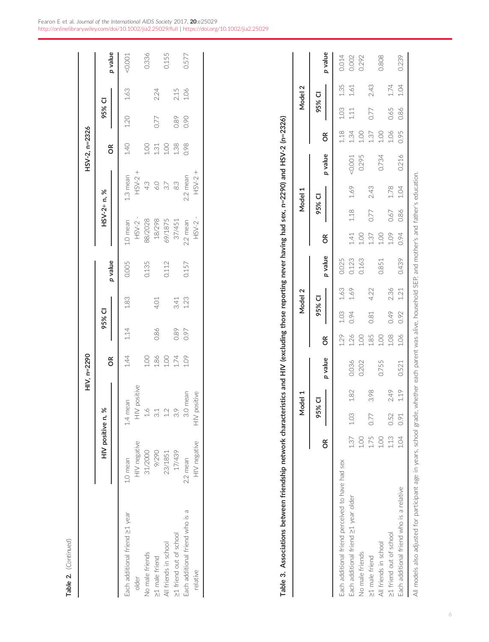| c<br>í |  |
|--------|--|
|        |  |

<span id="page-7-0"></span>

|                                 |                 |                     | HIV, n=2290 |        |                  |         |           |             | HSV-2, n=2326 |        |      |         |
|---------------------------------|-----------------|---------------------|-------------|--------|------------------|---------|-----------|-------------|---------------|--------|------|---------|
|                                 | HIV positive n, | ৯                   |             | 95% CI |                  |         |           | HSV-2+ n, % |               | 95% CI |      |         |
|                                 |                 |                     | õ           |        |                  | p value |           |             | õ             |        |      | p value |
| Each additional friend ≥1 year  | 1.0 mean        | 1.4 mean            | 1.44        | $1.14$ | 1.83             | 0.005   | 1.0 mean  | 1.3 mean    | 1.40          | $1.20$ | 1.63 | 0.001   |
| older                           | HIV negative    | HIV positive        |             |        |                  |         | $HSV-2$ - | $HSV-2 +$   |               |        |      |         |
| No male friends                 | 31/2000         | $\frac{6}{1}$       | 1.00        |        |                  | 0.135   | 88/2028   | 4.3         | 1.00          |        |      | 0.336   |
| >1 male friend                  | 9/290           | $\frac{1}{3}$       | 1.86        | 0.86   | 4.01             |         | 18/298    | $\ddot{o}$  | 1.31          | 0.77   | 2.24 |         |
| All friends in school           | 23/1851         | 12                  | 1.00        |        |                  | 0.112   | 69/1875   | 3.7         | 1.00          |        |      | 0.155   |
| >1 friend out of school         | 17/439          | 33                  | 1.74        | 0.89   |                  |         | 37/451    | 83          | 1.38          | 0.89   | 2.15 |         |
| Each additional friend who is a | 2.2 mean        | 3.0 mean            | 1.09        | 0.97   | $3.41$<br>$1.23$ | 0.157   | 2.2 mean  | 2.2 mean    | 0.98          | 0.90   | 1.06 | 0.577   |
| relative                        | HIV negative    | positive<br>$\geqq$ |             |        |                  |         | $HSV-2$ - | $HSV-2 +$   |               |        |      |         |
|                                 |                 |                     |             |        |                  |         |           |             |               |        |      |         |

Table 3. Associations between friendship network characteristics and HIV (excluding those reporting never having had sex, n=2290) and HSV-2 (n=2326) Table 3. Associations between friendship network characteristics and HIV (excluding those reporting never having had sex, n=2290) and HSV-2 (n=2326)

|                                                                    |      |        | Model 1 |                                                                                        |             |        | Model 2 |         |                |        | Model 1 |          |               |        | Model 2 |         |
|--------------------------------------------------------------------|------|--------|---------|----------------------------------------------------------------------------------------|-------------|--------|---------|---------|----------------|--------|---------|----------|---------------|--------|---------|---------|
|                                                                    | δŘ   | 95% CI |         | p value                                                                                | õ           | 95% CI |         | p value | õ              | 95% CI |         | p value  | $\frac{8}{5}$ | 95% CI |         |         |
|                                                                    |      |        |         |                                                                                        |             |        |         |         |                |        |         |          |               |        |         | p value |
| Each additional friend perceived to have had sex                   |      |        |         |                                                                                        | 1.29        | 1.03   | 1.63    | 0.025   |                |        |         |          | 1.18          | 1.03   | 1.35    | 0.014   |
| Each additional friend ≥1 year older                               | 1.37 | 1.03   | 1.82    | 0.036                                                                                  | 1.26        | 0.94   | 1.69    | 0.123   | 1.41           | 1.18   | 1.69    | $-0.001$ | 1.34          | 1.11   | 1.61    | 0.002   |
| No male friends                                                    | 001  |        |         | 0.202                                                                                  | 8<br>E      |        |         | 0.163   | $\frac{8}{10}$ |        |         | 0.295    | 00.1          |        |         | 0.292   |
| >1 male friend                                                     | 1.75 | 0.77   | 3.98    |                                                                                        | 1.85        | 0.81   | 4.22    |         | 1.37           | 0.77   | 2.43    |          | 1.37          | 0.77   | 2.43    |         |
| All friends in school                                              | 201  |        |         | 0.755                                                                                  | $rac{1}{1}$ |        |         | 0.851   | 001            |        |         | 0.734    | 1.00          |        |         | 0.808   |
| >1 friend out of school                                            | 1.13 | 0.52   | 2.49    |                                                                                        | 1.08        | 0.49   | 2.36    |         | 1.09           | 0.67   | 1.78    |          | 1.06          | 0.65   | 1.74    |         |
| Each additional friend who is a relative                           | 1.04 | 0.91   | 1.19    | 0.521                                                                                  | 106         | 0.92   | 1.21    | 0.439   | 0.94           | 0.86   | 1.04    | 0.216    | 0.95          | 0.86   | 1.04    | 0.239   |
| All models also adjusted for participant age in years, school grac |      |        |         | de, whether each parent was alive, household SEP, and mother's and father's education. |             |        |         |         |                |        |         |          |               |        |         |         |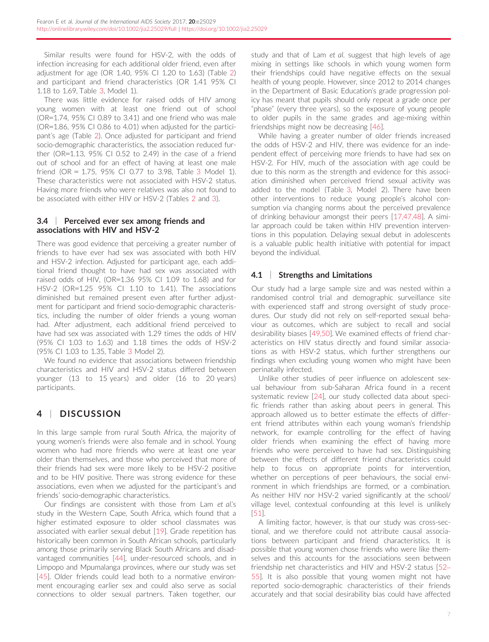Similar results were found for HSV-2, with the odds of infection increasing for each additional older friend, even after adjustment for age (OR 1.40, 95% CI 1.20 to 1.63) (Table [2\)](#page-6-0) and participant and friend characteristics (OR 1.41 95% CI 1.18 to 1.69, Table [3](#page-7-0), Model 1).

There was little evidence for raised odds of HIV among young women with at least one friend out of school (OR=1.74, 95% CI 0.89 to 3.41) and one friend who was male (OR=1.86, 95% CI 0.86 to 4.01) when adjusted for the participant's age (Table [2](#page-6-0)). Once adjusted for participant and friend socio-demographic characteristics, the association reduced further (OR=1.13, 95% CI 0.52 to 2.49) in the case of a friend out of school and for an effect of having at least one male friend (OR = 1.75, 95% CI 0.77 to 3.98, Table [3](#page-7-0) Model 1). These characteristics were not associated with HSV-2 status. Having more friends who were relatives was also not found to be associated with either HIV or HSV-2 (Tables [2](#page-6-0) and [3](#page-7-0)).

#### 3.4 | Perceived ever sex among friends and associations with HIV and HSV-2

There was good evidence that perceiving a greater number of friends to have ever had sex was associated with both HIV and HSV-2 infection. Adjusted for participant age, each additional friend thought to have had sex was associated with raised odds of HIV, (OR=1.36 95% CI 1.09 to 1.68) and for HSV-2 (OR=1.25 95% CI 1.10 to 1.41). The associations diminished but remained present even after further adjustment for participant and friend socio-demographic characteristics, including the number of older friends a young woman had. After adjustment, each additional friend perceived to have had sex was associated with 1.29 times the odds of HIV (95% CI 1.03 to 1.63) and 1.18 times the odds of HSV-2 (95% CI 1.03 to 1.35, Table [3](#page-7-0) Model 2).

We found no evidence that associations between friendship characteristics and HIV and HSV-2 status differed between younger (13 to 15 years) and older (16 to 20 years) participants.

## 4 | DISCUSSION

In this large sample from rural South Africa, the majority of young women's friends were also female and in school. Young women who had more friends who were at least one year older than themselves, and those who perceived that more of their friends had sex were more likely to be HSV-2 positive and to be HIV positive. There was strong evidence for these associations, even when we adjusted for the participant's and friends' socio-demographic characteristics.

Our findings are consistent with those from Lam et al.'s study in the Western Cape, South Africa, which found that a higher estimated exposure to older school classmates was associated with earlier sexual debut [[19\]](#page-10-0). Grade repetition has historically been common in South African schools, particularly among those primarily serving Black South Africans and disadvantaged communities [[44](#page-10-0)], under-resourced schools, and in Limpopo and Mpumalanga provinces, where our study was set [\[45\]](#page-10-0). Older friends could lead both to a normative environment encouraging earlier sex and could also serve as social connections to older sexual partners. Taken together, our

study and that of Lam et al. suggest that high levels of age mixing in settings like schools in which young women form their friendships could have negative effects on the sexual health of young people. However, since 2012 to 2014 changes in the Department of Basic Education's grade progression policy has meant that pupils should only repeat a grade once per "phase" (every three years), so the exposure of young people to older pupils in the same grades and age-mixing within friendships might now be decreasing [\[46\]](#page-10-0).

While having a greater number of older friends increased the odds of HSV-2 and HIV, there was evidence for an independent effect of perceiving more friends to have had sex on HSV-2. For HIV, much of the association with age could be due to this norm as the strength and evidence for this association diminished when perceived friend sexual activity was added to the model (Table [3](#page-7-0), Model 2). There have been other interventions to reduce young people's alcohol consumption via changing norms about the perceived prevalence of drinking behaviour amongst their peers [\[17,47,48](#page-10-0)]. A similar approach could be taken within HIV prevention interventions in this population. Delaying sexual debut in adolescents is a valuable public health initiative with potential for impact beyond the individual.

#### 4.1 | Strengths and Limitations

Our study had a large sample size and was nested within a randomised control trial and demographic surveillance site with experienced staff and strong oversight of study procedures. Our study did not rely on self-reported sexual behaviour as outcomes, which are subject to recall and social desirability biases [[49,50\]](#page-10-0). We examined effects of friend characteristics on HIV status directly and found similar associations as with HSV-2 status, which further strengthens our findings when excluding young women who might have been perinatally infected.

Unlike other studies of peer influence on adolescent sexual behaviour from sub-Saharan Africa found in a recent systematic review [\[24\]](#page-10-0), our study collected data about specific friends rather than asking about peers in general. This approach allowed us to better estimate the effects of different friend attributes within each young woman's friendship network, for example controlling for the effect of having older friends when examining the effect of having more friends who were perceived to have had sex. Distinguishing between the effects of different friend characteristics could help to focus on appropriate points for intervention, whether on perceptions of peer behaviours, the social environment in which friendships are formed, or a combination. As neither HIV nor HSV-2 varied significantly at the school/ village level, contextual confounding at this level is unlikely [[51\]](#page-10-0).

A limiting factor, however, is that our study was cross-sectional, and we therefore could not attribute causal associations between participant and friend characteristics. It is possible that young women chose friends who were like themselves and this accounts for the associations seen between friendship net characteristics and HIV and HSV-2 status [[52](#page-10-0)– [55](#page-10-0)]. It is also possible that young women might not have reported socio-demographic characteristics of their friends accurately and that social desirability bias could have affected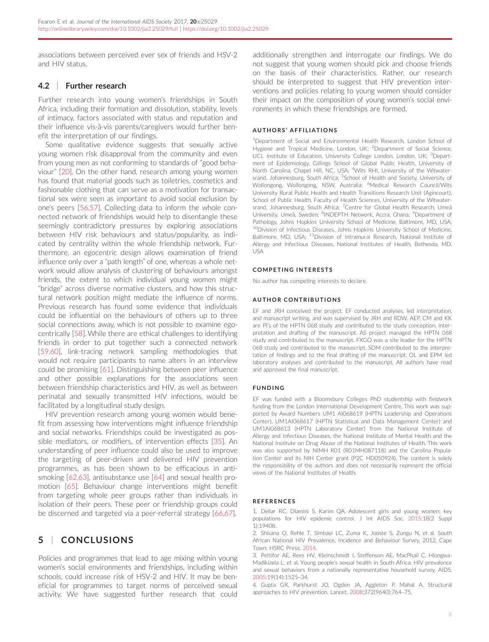<span id="page-9-0"></span>associations between perceived ever sex of friends and HSV-2 and HIV status.

#### 4.2 | Further research

Further research into young women's friendships in South Africa, including their formation and dissolution, stability, levels of intimacy, factors associated with status and reputation and their influence vis-à-vis parents/caregivers would further benefit the interpretation of our findings.

Some qualitative evidence suggests that sexually active young women risk disapproval from the community and even from young men as not conforming to standards of "good behaviour" [[20\]](#page-10-0). On the other hand, research among young women has found that material goods such as toiletries, cosmetics and fashionable clothing that can serve as a motivation for transactional sex were seen as important to avoid social exclusion by one's peers [\[56,57](#page-10-0)]. Collecting data to inform the whole connected network of friendships would help to disentangle these seemingly contradictory pressures by exploring associations between HIV risk behaviours and status/popularity, as indicated by centrality within the whole friendship network. Furthermore, an egocentric design allows examination of friend influence only over a "path length" of one, whereas a whole network would allow analysis of clustering of behaviours amongst friends, the extent to which individual young women might "bridge" across diverse normative clusters, and how this structural network position might mediate the influence of norms. Previous research has found some evidence that individuals could be influential on the behaviours of others up to three social connections away, which is not possible to examine egocentrically [\[58\]](#page-11-0). While there are ethical challenges to identifying friends in order to put together such a connected network [\[59,60](#page-11-0)], link-tracing network sampling methodologies that would not require participants to name alters in an interview could be promising [[61](#page-11-0)]. Distinguishing between peer influence and other possible explanations for the associations seen between friendship characteristics and HIV, as well as between perinatal and sexually transmitted HIV infections, would be facilitated by a longitudinal study design.

HIV prevention research among young women would benefit from assessing how interventions might influence friendship and social networks. Friendships could be investigated as possible mediators, or modifiers, of intervention effects [\[35](#page-10-0)]. An understanding of peer influence could also be used to improve the targeting of peer-driven and delivered HIV prevention programmes, as has been shown to be efficacious in antismoking [[62,63\]](#page-11-0), antisubstance use [\[64\]](#page-11-0) and sexual health promotion [[65\]](#page-11-0). Behaviour change interventions might benefit from targeting whole peer groups rather than individuals in isolation of their peers. These peer or friendship groups could be discerned and targeted via a peer-referral strategy [\[66,67\]](#page-11-0).

## 5 | CONCLUSIONS

Policies and programmes that lead to age mixing within young women's social environments and friendships, including within schools, could increase risk of HSV-2 and HIV. It may be beneficial for programmes to target norms of perceived sexual activity. We have suggested further research that could

additionally strengthen and interrogate our findings. We do not suggest that young women should pick and choose friends on the basis of their characteristics. Rather, our research should be interpreted to suggest that HIV prevention interventions and policies relating to young women should consider their impact on the composition of young women's social environments in which these friendships are formed.

#### AUTHORS ' AFFILIATIONS

<sup>1</sup>Department of Social and Environmental Health Research, London School of Hygiene and Tropical Medicine, London, UK; <sup>2</sup>Department of Social Science, UCL Institute of Education, University College London, London, UK; <sup>3</sup>Department of Epidemiology, Gillings School of Global Public Health, University of North Carolina, Chapel Hill, NC, USA; <sup>4</sup>Wits RHI, University of the Witwatersrand, Johannesburg, South Africa; <sup>5</sup>School of Health and Society, University of Wollongong, Wollongong, NSW, Australia; <sup>6</sup>Medical Research Council/Wits University Rural Public Health and Health Transitions Research Unit (Agincourt), School of Public Health, Faculty of Health Sciences, University of the Witwatersrand, Johannesburg, South Africa; <sup>7</sup>Centre for Global Health Research, Umeå University, Umeå, Sweden; <sup>8</sup>INDEPTH Network, Accra, Ghana; <sup>9</sup>Department of Pathology, Johns Hopkins University School of Medicine, Baltimore, MD, USA; <sup>10</sup>Division of Infectious Diseases, Johns Hopkins University School of Medicine, Baltimore, MD, USA; <sup>11</sup>Division of Intramural Research, National Institute of Allergy and Infectious Diseases, National Institutes of Health, Bethesda, MD, USA

#### COMPETING INTERESTS

No author has competing interests to declare.

#### AUTHOR CONTRIBUTIONS

EF and JRH conceived the project. EF conducted analyses, led interpretation, and manuscript writing, and was supervised by JRH and RDW. AEP, CM and KK are PI's of the HPTN 068 study and contributed to the study conception, interpretation and drafting of the manuscript. AS project managed the HPTN 068 study and contributed to the manuscript. FXGO was a site leader for the HPTN 068 study and contributed to the manuscript. SDM contributed to the interpretation of findings and to the final drafting of the manuscript. OL and EPM led laboratory analyses and contributed to the manuscript. All authors have read and approved the final manuscript.

#### FUNDING

EF was funded with a Bloomsbury Colleges PhD studentship with fieldwork funding from the London International Development Centre. This work was supported by Award Numbers UM1 AI068619 (HPTN Leadership and Operations Center), UM1AI068617 (HPTN Statistical and Data Management Center) and UM1AI068613 (HPTN Laboratory Center) from the National Institute of Allergy and Infectious Diseases, the National Institute of Mental Health and the National Institute on Drug Abuse of the National Institutes of Health. This work was also supported by NIMH R01 (R01MH087118) and the Carolina Population Center and its NIH Center grant (P2C HD050924). The content is solely the responsibility of the authors and does not necessarily represent the official views of the National Institutes of Health.

#### **REFERENCES**

1. Dellar RC, Dlamini S, Karim QA. Adolescent girls and young women: key populations for HIV epidemic control. J Int AIDS Soc. 2015;18(2 Suppl 1):19408.

2. Shisana O, Rehle T, Simbayi LC, Zuma K, Jooste S, Zungu N, et al. South African National HIV Prevalence, Incidence and Behaviour Survey, 2012. Cape Town: HSRC Press; 2014.

3. Pettifor AE, Rees HV, Kleinschmidt I, Steffenson AE, MacPhail C, Hlongwa-Madikizela L, et al. Young people's sexual health in South Africa: HIV prevalence and sexual behaviors from a nationally representative household survey. AIDS. 2005;19(14):1525–34.

4. Gupta GR, Parkhurst JO, Ogden JA, Aggleton P, Mahal A. Structural approaches to HIV prevention. Lancet. 2008;372(9640):764–75.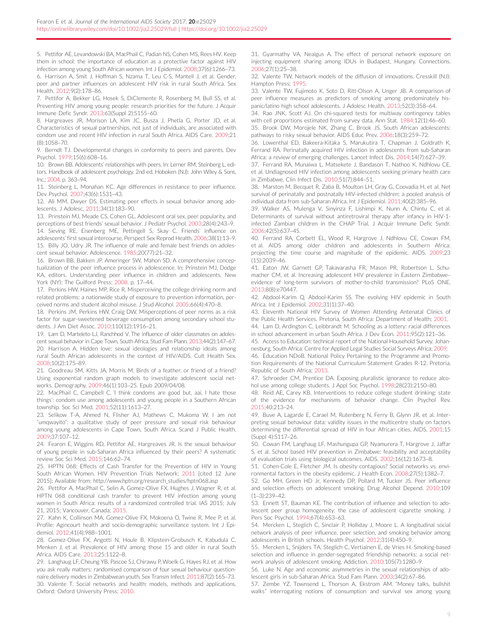<span id="page-10-0"></span>5. Pettifor AE, Levandowski BA, MacPhail C, Padian NS, Cohen MS, Rees HV. Keep them in school: the importance of education as a protective factor against HIV infection among young South African women. Int J Epidemiol. 2008;37(6):1266–73. 6. Harrison A, Smit J, Hoffman S, Nzama T, Leu C-S, Mantell J, et al. Gender, peer and partner influences on adolescent HIV risk in rural South Africa. Sex Health. 2012;9(2):178–86.

7. Pettifor A, Bekker LG, Hosek S, DiClemente R, Rosenberg M, Bull SS, et al. Preventing HIV among young people: research priorities for the future. J Acquir Immune Defic Syndr. 2013;63(Suppl 2):S155–60.

8. Hargreaves JR, Morison LA, Kim JC, Busza J, Phetla G, Porter JD, et al. Characteristics of sexual partnerships, not just of individuals, are associated with condom use and recent HIV infection in rural South Africa. AIDS Care. 2009;21 (8):1058–70.

9. Berndt TJ. Developmental changes in conformity to peers and parents. Dev Psychol. 1979;15(6):608–16.

10. Brown BB. Adolescents' relationships with peers. In: Lerner RM, Steinberg L, editors. Handbook of adolescent psychology. 2nd ed. Hoboken (NJ): John Wiley & Sons, Inc.; 2004. p. 363–94.

11. Steinberg L, Monahan KC. Age differences in resistance to peer influence. Dev Psychol. 2007;43(6):1531–43.

12. Ali MM, Dwyer DS. Estimating peer effects in sexual behavior among adolescents. J Adolesc. 2011;34(1):183–90.

13. Prinstein MJ, Meade CS, Cohen GL. Adolescent oral sex, peer popularity, and perceptions of best friends' sexual behavior. J Pediatr Psychol. 2003;28(4):243–9. 14. Sieving RE, Eisenberg ME, Pettingell S, Skay C. Friends' influence on adolescents' first sexual intercourse. Perspect Sex Reprod Health. 2006;38(1):13–9. 15. Billy JO, Udry JR. The influence of male and female best friends on adoles-

cent sexual behavior. Adolescence. 1985;20(77):21–32. 16. Brown BB, Bakken JP, Ameringer SW, Mahon SD. A comprehensive concep-

tualization of the peer influence process in adolescence. In: Prinstein MJ, Dodge KA, editors. Understanding peer influence in children and adolescents. New York (NY): The Guilford Press; 2008. p. 17–44.

17. Perkins HW, Haines MP, Rice R. Misperceiving the college drinking norm and related problems: a nationwide study of exposure to prevention information, perceived norms and student alcohol misuse. J Stud Alcohol. 2005;66(4):470–8.

18. Perkins JM, Perkins HW, Craig DW. Misperceptions of peer norms as a risk factor for sugar-sweetened beverage consumption among secondary school students. J Am Diet Assoc. 2010;110(12):1916–21.

19. Lam D, Marteleto LJ, Ranchhod V. The influence of older classmates on adolescent sexual behavior in Cape Town, South Africa. Stud Fam Plann. 2013;44(2):147–67. 20. Harrison A. Hidden love: sexual ideologies and relationship ideals among rural South African adolescents in the context of HIV/AIDS. Cult Health Sex. 2008;10(2):175–89.

21. Goodreau SM, Kitts JA, Morris M. Birds of a feather, or friend of a friend? Using exponential random graph models to investigate adolescent social networks. Demography. 2009;46(1):103–25. Epub 2009/04/08.

22. MacPhail C, Campbell C. 'I think condoms are good but, aai, I hate those things': condom use among adolescents and young people in a Southern African township. Soc Sci Med. 2001;52(11):1613–27.

23. Selikow T-A, Ahmed N, Flisher AJ, Mathews C, Mukoma W. I am not "umqwayito": a qualitative study of peer pressure and sexual risk behaviour among young adolescents in Cape Town, South Africa. Scand J Public Health. 2009;37:107–12.

24. Fearon E, Wiggins RD, Pettifor AE, Hargreaves JR. Is the sexual behaviour of young people in sub-Saharan Africa influenced by their peers? A systematic review Soc Sci Med. 2015;146:62–74.

25. HPTN 068: Effects of Cash Transfer for the Prevention of HIV in Young South African Women. HIV Prevention Trials Network; 2011 [cited 12 June 2015]; Available from: [http://www.hptn.org/research\\_studies/hptn068.asp](http://www.hptn.org/research_studies/hptn068.asp)

26. Pettifor A, MacPhail C, Selin A, Gomez-Olive FX, Hughes J, Wagner R, et al. HPTN 068 conditional cash transfer to prevent HIV infection among young women in South Africa: results of a randomized controlled trial. IAS 2015; July 21, 2015; Vancouver, Canada; 2015.

27. Kahn K, Collinson MA, Gomez-Olive FX, Mokoena O, Twine R, Mee P, et al. Profile: Agincourt health and socio-demographic surveillance system. Int J Epidemiol. 2012;41(4):988–1001.

28. Gomez-Olive FX, Angotti N, Houle B, Klipstein-Grobusch K, Kabudula C, Menken J, et al. Prevalence of HIV among those 15 and older in rural South Africa. AIDS Care. 2013;25:1122–8.

29. Langhaug LF, Cheung YB, Pascoe SJ, Chirawu P, Woelk G, Hayes RJ, et al. How you ask really matters: randomised comparison of four sexual behaviour questionnaire delivery modes in Zimbabwean youth. Sex Transm Infect. 2011;87(2):165–73. 30. Valente T. Social networks and health: models, methods and applications. Oxford: Oxford University Press; 2010.

31. Gyarmathy VA, Neaigus A. The effect of personal network exposure on injecting equipment sharing among IDUs in Budapest, Hungary. Connections. 2006;27(1):25–38.

32. Valente TW. Network models of the diffusion of innovations. Cresskill (NJ): Hampton Press; 1995.

33. Valente TW, Fujimoto K, Soto D, Ritt-Olson A, Unger JB. A comparison of peer influence measures as predictors of smoking among predominately hispanic/latino high school adolescents. J Adolesc Health. 2013;52(3):358–64.

34. Rao JNK, Scott AJ. On chi-squared tests for multiway contingency tables with cell proportions estimated from survey data. Ann Stat. 1984;12(1):46–60. 35. Brook DW, Morojele NK, Zhang C, Brook JS. South African adolescents: pathways to risky sexual behavior. AIDS Educ Prev. 2006;18(3):259–72.

36. Lowenthal ED, Bakeera-Kitaka S, Marukutira T, Chapman J, Goldrath K, Ferrand RA. Perinatally acquired HIV infection in adolescents from sub-Saharan Africa: a review of emerging challenges. Lancet Infect Dis. 2014;14(7):627–39.

37. Ferrand RA, Munaiwa L, Matsekete J, Bandason T, Nathoo K, Ndhlovu CE, et al. Undiagnosed HIV infection among adolescents seeking primary health care in Zimbabwe. Clin Infect Dis. 2010;51(7):844–51.

38. Marston M, Becquet R, Zaba B, Moulton LH, Gray G, Coovadia H, et al. Net survival of perinatally and postnatally HIV-infected children: a pooled analysis of individual data from sub-Saharan Africa. Int J Epidemiol. 2011;40(2):385–96.

39. Walker AS, Mulenga V, Sinyinza F, Lishimpi K, Nunn A, Chintu C, et al. Determinants of survival without antiretroviral therapy after infancy in HIV-1 infected Zambian children in the CHAP Trial. J Acquir Immune Defic Syndr. 2006;42(5):637–45.

40. Ferrand RA, Corbett EL, Wood R, Hargrove J, Ndhlovu CE, Cowan FM, et al. AIDS among older children and adolescents in Southern Africa: projecting the time course and magnitude of the epidemic. AIDS. 2009;23 (15):2039–46.

41. Eaton JW, Garnett GP, Takavarasha FR, Mason PR, Robertson L, Schumacher CM, et al. Increasing adolescent HIV prevalence in Eastern Zimbabwe– evidence of long-term survivors of mother-to-child transmission? PLoS ONE. 2013;8(8):e70447.

42. Abdool-Karim Q, Abdool-Karim SS. The evolving HIV epidemic in South Africa. Int J Epidemiol. 2002;31(1):37–40.

43. Eleventh National HIV Survey of Women Attending Antenatal Clinics of the Public Health Services. Pretoria, South Africa: Department of Health; 2001.

44. Lam D, Ardington C, Leibbrandt M. Schooling as a lottery: racial differences in school advancement in urban South Africa. J Dev Econ. 2011;95(2):121–36.

45. Access to Education: technical report of the National Household Survey. Johannesburg, South Africa: Centre for Applied Legal Studies Social Surveys Africa; 2009. 46. Education NDoB. National Policy Pertaining to the Programme and Promotion Requirements of the National Curriculum Statement Grades R-12. Pretoria,

Republic of South Africa; 2013. 47. Schroeder CM, Prentice DA. Exposing pluralistic ignorance to reduce alcohol use among college students. J Appl Soc Psychol. 1998;28(23):2150–80.

48. Reid AE, Carey KB. Interventions to reduce college student drinking: state of the evidence for mechanisms of behavior change. Clin Psychol Rev. 2015;40:213–24.

49. Buve A, Lagarde E, Carael M, Rutenberg N, Ferry B, Glynn JR, et al. Interpreting sexual behaviour data: validity issues in the multicentre study on factors determining the differential spread of HIV in four African cities. AIDS. 2001;15 (Suppl 4):S117–26.

50. Cowan FM, Langhaug LF, Mashungupa GP, Nyamurera T, Hargrove J, Jaffar S, et al. School based HIV prevention in Zimbabwe: feasibility and acceptability of evaluation trials using biological outcomes. AIDS. 2002;16(12):1673–8.

51. Cohen-Cole E, Fletcher JM. Is obesity contagious? Social networks vs. environmental factors in the obesity epidemic. J Health Econ. 2008;27(5):1382–7.

52. Go MH, Green HD Jr, Kennedy DP, Pollard M, Tucker JS. Peer influence and selection effects on adolescent smoking. Drug Alcohol Depend. 2010;109 (1–3):239–42.

53. Ennett ST, Bauman KE. The contribution of influence and selection to adolescent peer group homogeneity: the case of adolescent cigarette smoking. J Pers Soc Psychol. 1994;67(4):653–63.

54. Mercken L, Steglich C, Sinclair P, Holliday J, Moore L. A longitudinal social network analysis of peer influence, peer selection, and smoking behavior among adolescents in British schools. Health Psychol. 2012;31(4):450–9.

55. Mercken L, Snijders TA, Steglich C, Vertiainen E, de Vries H. Smoking-based selection and influence in gender-segregated friendship networks: a social network analysis of adolescent smoking. Addiction. 2010;105(7):1280–9.

56. Luke N. Age and economic asymmetries in the sexual relationships of adolescent girls in sub-Saharan Africa. Stud Fam Plann. 2003;34(2):67–86.

57. Zembe YZ, Townsend L, Thorson A, Ekstrom AM. "Money talks, bullshit walks" interrogating notions of consumption and survival sex among young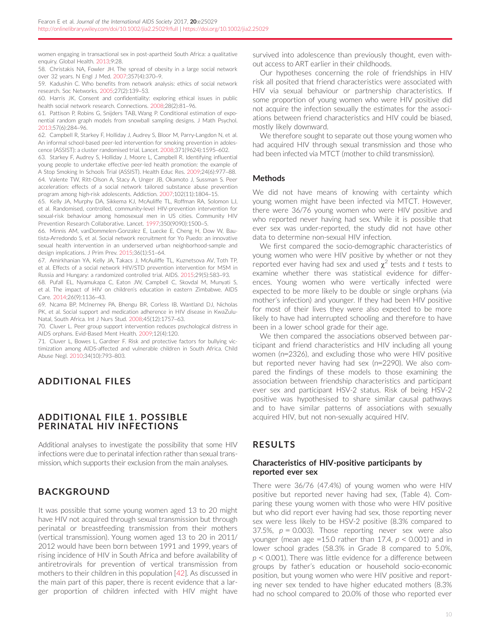<span id="page-11-0"></span>women engaging in transactional sex in post-apartheid South Africa: a qualitative enquiry. Global Health. 2013;9:28.

58. Christakis NA, Fowler JH. The spread of obesity in a large social network over 32 years. N Engl J Med. 2007;357(4):370–9.

59. Kadushin C. Who benefits from network analysis: ethics of social network research. Soc Networks. 2005;27(2):139–53.

60. Harris JK. Consent and confidentiality: exploring ethical issues in public health social network research. Connections. 2008;28(2):81–96.

61. Pattison P, Robins G, Snijders TAB, Wang P. Conditional estimation of exponential random graph models from snowball sampling designs. J Math Psychol. 2013;57(6):284–96.

62. Campbell R, Starkey F, Holliday J, Audrey S, Bloor M, Parry-Langdon N, et al. An informal school-based peer-led intervention for smoking prevention in adolescence (ASSIST): a cluster randomised trial. Lancet. 2008;371(9624):1595–602.

63. Starkey F, Audrey S, Holliday J, Moore L, Campbell R. Identifying influential young people to undertake effective peer-led health promotion: the example of A Stop Smoking In Schools Trial (ASSIST). Health Educ Res. 2009;24(6):977–88. 64. Valente TW, Ritt-Olson A, Stacy A, Unger JB, Okamoto J, Sussman S. Peer acceleration: effects of a social network tailored substance abuse prevention program among high-risk adolescents. Addiction. 2007;102(11):1804–15.

65. Kelly JA, Murphy DA, Sikkema KJ, McAuliffe TL, Roffman RA, Solomon LJ, et al. Randomised, controlled, community-level HIV-prevention intervention for sexual-risk behaviour among homosexual men in US cities. Community HIV Prevention Research Collaborative. Lancet. 1997;350(9090):1500–5.

66. Minnis AM, vanDommelen-Gonzalez E, Luecke E, Cheng H, Dow W, Bautista-Arredondo S, et al. Social network recruitment for Yo Puedo: an innovative sexual health intervention in an underserved urban neighborhood-sample and design implications. J Prim Prev. 2015;36(1):51–64.

67. Amirkhanian YA, Kelly JA, Takacs J, McAuliffe TL, Kuznetsova AV, Toth TP, et al. Effects of a social network HIV/STD prevention intervention for MSM in Russia and Hungary: a randomized controlled trial. AIDS. 2015;29(5):583–93.

68. Pufall EL, Nyamukapa C, Eaton JW, Campbell C, Skovdal M, Munyati S, et al. The impact of HIV on children's education in eastern Zimbabwe. AIDS Care. 2014;26(9):1136–43.

69. Ncama BP, McInerney PA, Bhengu BR, Corless IB, Wantland DJ, Nicholas PK, et al. Social support and medication adherence in HIV disease in KwaZulu-Natal, South Africa. Int J Nurs Stud. 2008;45(12):1757–63.

70. Cluver L. Peer group support intervention reduces psychological distress in AIDS orphans. Evid-Based Ment Health. 2009;12(4):120.

71. Cluver L, Bowes L, Gardner F. Risk and protective factors for bullying victimization among AIDS-affected and vulnerable children in South Africa. Child Abuse Negl. 2010;34(10):793–803.

## ADDITIONAL FILES

#### ADDITIONAL FILE 1. POSSIBLE PERINATAL HIV INFECTIONS

Additional analyses to investigate the possibility that some HIV infections were due to perinatal infection rather than sexual transmission, which supports their exclusion from the main analyses.

## BACKGROUND

It was possible that some young women aged 13 to 20 might have HIV not acquired through sexual transmission but through perinatal or breastfeeding transmission from their mothers (vertical transmission). Young women aged 13 to 20 in 2011/ 2012 would have been born between 1991 and 1999, years of rising incidence of HIV in South Africa and before availability of antiretrovirals for prevention of vertical transmission from mothers to their children in this population [[42](#page-10-0)]. As discussed in the main part of this paper, there is recent evidence that a larger proportion of children infected with HIV might have survived into adolescence than previously thought, even without access to ART earlier in their childhoods.

Our hypotheses concerning the role of friendships in HIV risk all posited that friend characteristics were associated with HIV via sexual behaviour or partnership characteristics. If some proportion of young women who were HIV positive did not acquire the infection sexually the estimates for the associations between friend characteristics and HIV could be biased, mostly likely downward.

We therefore sought to separate out those young women who had acquired HIV through sexual transmission and those who had been infected via MTCT (mother to child transmission).

#### **Methods**

We did not have means of knowing with certainty which young women might have been infected via MTCT. However, there were 36/76 young women who were HIV positive and who reported never having had sex. While it is possible that ever sex was under-reported, the study did not have other data to determine non-sexual HIV infection.

We first compared the socio-demographic characteristics of young women who were HIV positive by whether or not they reported ever having had sex and used  $\chi^2$  tests and t tests to examine whether there was statistical evidence for differences. Young women who were vertically infected were expected to be more likely to be double or single orphans (via mother's infection) and younger. If they had been HIV positive for most of their lives they were also expected to be more likely to have had interrupted schooling and therefore to have been in a lower school grade for their age.

We then compared the associations observed between participant and friend characteristics and HIV including all young women (n=2326), and excluding those who were HIV positive but reported never having had sex (n=2290). We also compared the findings of these models to those examining the association between friendship characteristics and participant ever sex and participant HSV-2 status. Risk of being HSV-2 positive was hypothesised to share similar causal pathways and to have similar patterns of associations with sexually acquired HIV, but not non-sexually acquired HIV.

## RESULTS

#### Characteristics of HIV-positive participants by reported ever sex

There were 36/76 (47.4%) of young women who were HIV positive but reported never having had sex, (Table 4). Comparing these young women with those who were HIV positive but who did report ever having had sex, those reporting never sex were less likely to be HSV-2 positive (8.3% compared to 37.5%,  $p = 0.003$ ). Those reporting never sex were also younger (mean age =15.0 rather than 17.4,  $p < 0.001$ ) and in lower school grades (58.3% in Grade 8 compared to 5.0%,  $p < 0.001$ ). There was little evidence for a difference between groups by father's education or household socio-economic position, but young women who were HIV positive and reporting never sex tended to have higher educated mothers (8.3% had no school compared to 20.0% of those who reported ever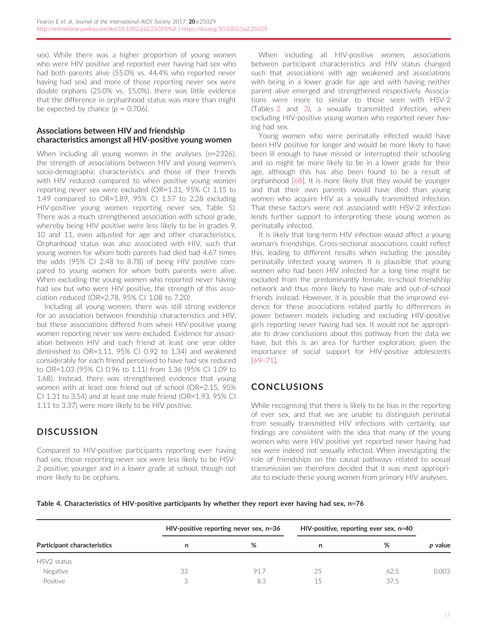sex). While there was a higher proportion of young women who were HIV positive and reported ever having had sex who had both parents alive (55.0% vs. 44.4% who reported never having had sex) and more of those reporting never sex were double orphans (25.0% vs. 15.0%), there was little evidence that the difference in orphanhood status was more than might be expected by chance  $(p = 0.706)$ .

#### Associations between HIV and friendship characteristics amongst all HIV-positive young women

When including all young women in the analyses (n=2326), the strength of associations between HIV and young women's socio-demographic characteristics and those of their friends with HIV reduced compared to when positive young women reporting never sex were excluded (OR=1.31, 95% CI 1.15 to 1.49 compared to OR=1.89, 95% CI 1.57 to 2.28 excluding HIV-positive young women reporting never sex, Table 5). There was a much strengthened association with school grade, whereby being HIV positive were less likely to be in grades 9, 10 and 11, even adjusted for age and other characteristics. Orphanhood status was also associated with HIV, such that young women for whom both parents had died had 4.67 times the odds (95% CI 2.48 to 8.78) of being HIV positive compared to young women for whom both parents were alive. When excluding the young women who reported never having had sex but who were HIV positive, the strength of this association reduced (OR=2.78, 95% CI 1.08 to 7.20)

Including all young women, there was still strong evidence for an association between friendship characteristics and HIV, but these associations differed from when HIV-positive young women reporting never sex were excluded. Evidence for association between HIV and each friend at least one year older diminished to OR=1.11, 95% CI 0.92 to 1.34) and weakened considerably for each friend perceived to have had sex reduced to OR=1.03 (95% CI 0.96 to 1.11) from 1.36 (95% CI 1.09 to 1.68). Instead, there was strengthened evidence that young women with at least one friend out of school (OR=2.15, 95% CI 1.31 to 3.54) and at least one male friend (OR=1.93, 95% CI 1.11 to 3.37) were more likely to be HIV positive.

## **DISCUSSION**

Compared to HIV-positive participants reporting ever having had sex, those reporting never sex were less likely to be HSV-2 positive, younger and in a lower grade at school, though not more likely to be orphans.

When including all HIV-positive women, associations between participant characteristics and HIV status changed such that associations with age weakened and associations with being in a lower grade for age and with having neither parent alive emerged and strengthened respectively. Associations were more to similar to those seen with HSV-2 (Tables [2](#page-6-0) and [3](#page-7-0)), a sexually transmitted infection, when excluding HIV-positive young women who reported never having had sex.

Young women who were perinatally infected would have been HIV positive for longer and would be more likely to have been ill enough to have missed or interrupted their schooling and so might be more likely to be in a lower grade for their age, although this has also been found to be a result of orphanhood [[68](#page-11-0)]. It is more likely that they would be younger and that their own parents would have died than young women who acquire HIV as a sexually transmitted infection. That these factors were not associated with HSV-2 infection lends further support to interpreting these young women as perinatally infected.

It is likely that long-term HIV infection would affect a young woman's friendships. Cross-sectional associations could reflect this, leading to different results when including the possibly perinatally infected young women. It is plausible that young women who had been HIV infected for a long time might be excluded from the predominantly female, in-school friendship network and thus more likely to have male and out-of-school friends instead. However, it is possible that the improved evidence for these associations related partly to differences in power between models including and excluding HIV-positive girls reporting never having had sex. It would not be appropriate to draw conclusions about this pathway from the data we have, but this is an area for further exploration, given the importance of social support for HIV-positive adolescents [[69](#page-11-0)–[71\]](#page-11-0).

## CONCLUSIONS

While recognising that there is likely to be bias in the reporting of ever sex, and that we are unable to distinguish perinatal from sexually transmitted HIV infections with certainty, our findings are consistent with the idea that many of the young women who were HIV positive yet reported never having had sex were indeed not sexually infected. When investigating the role of friendships on the causal pathways related to sexual transmission we therefore decided that it was most appropriate to exclude these young women from primary HIV analyses.

Table 4. Characteristics of HIV-positive participants by whether they report ever having had sex, n=76

|                             |    | HIV-positive reporting never sex, $n=36$ |    | HIV-positive, reporting ever sex, $n=40$ |         |
|-----------------------------|----|------------------------------------------|----|------------------------------------------|---------|
| Participant characteristics | n  | %                                        | n  | %                                        | p value |
| HSV2 status                 |    |                                          |    |                                          |         |
| Negative                    | 33 | 91.7                                     | 25 | 62.5                                     | 0.003   |
| Positive                    |    | 8.3                                      | 15 | 37.5                                     |         |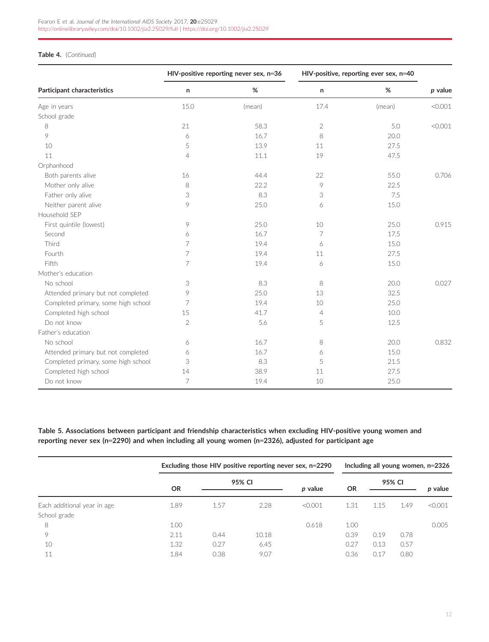#### Table 4. (Continued)

|                                     |                | HIV-positive reporting never sex, n=36 |                | HIV-positive, reporting ever sex, n=40 |         |
|-------------------------------------|----------------|----------------------------------------|----------------|----------------------------------------|---------|
| Participant characteristics         | n              | $\%$                                   | n              | $\%$                                   | p value |
| Age in years                        | 15.0           | (mean)                                 | 17.4           | (mean)                                 | < 0.001 |
| School grade                        |                |                                        |                |                                        |         |
| 8                                   | 21             | 58.3                                   | $\sqrt{2}$     | 5.0                                    | < 0.001 |
| 9                                   | 6              | 16.7                                   | 8              | 20.0                                   |         |
| 10                                  | 5              | 13.9                                   | 11             | 27.5                                   |         |
| 11                                  | $\overline{4}$ | 11.1                                   | 19             | 47.5                                   |         |
| Orphanhood                          |                |                                        |                |                                        |         |
| Both parents alive                  | 16             | 44.4                                   | 22             | 55.0                                   | 0.706   |
| Mother only alive                   | 8              | 22.2                                   | 9              | 22.5                                   |         |
| Father only alive                   | 3              | 8.3                                    | 3              | 7.5                                    |         |
| Neither parent alive                | 9              | 25.0                                   | 6              | 15.0                                   |         |
| Household SEP                       |                |                                        |                |                                        |         |
| First quintile (lowest)             | 9              | 25.0                                   | 10             | 25.0                                   | 0.915   |
| Second                              | 6              | 16.7                                   | 7              | 17.5                                   |         |
| Third                               | 7              | 19.4                                   | 6              | 15.0                                   |         |
| Fourth                              | 7              | 19.4                                   | 11             | 27.5                                   |         |
| Fifth                               | 7              | 19.4                                   | 6              | 15.0                                   |         |
| Mother's education                  |                |                                        |                |                                        |         |
| No school                           | 3              | 8.3                                    | 8              | 20.0                                   | 0.027   |
| Attended primary but not completed  | 9              | 25.0                                   | 13             | 32.5                                   |         |
| Completed primary, some high school | 7              | 19.4                                   | 10             | 25.0                                   |         |
| Completed high school               | 15             | 41.7                                   | $\overline{4}$ | 10.0                                   |         |
| Do not know                         | 2              | 5.6                                    | 5              | 12.5                                   |         |
| Father's education                  |                |                                        |                |                                        |         |
| No school                           | 6              | 16.7                                   | 8              | 20.0                                   | 0.832   |
| Attended primary but not completed  | 6              | 16.7                                   | 6              | 15.0                                   |         |
| Completed primary, some high school | 3              | 8.3                                    | 5              | 21.5                                   |         |
| Completed high school               | 14             | 38.9                                   | 11             | 27.5                                   |         |
| Do not know                         | $\overline{7}$ | 19.4                                   | 10             | 25.0                                   |         |

Table 5. Associations between participant and friendship characteristics when excluding HIV-positive young women and reporting never sex (n=2290) and when including all young women (n=2326), adjusted for participant age

|                             |           |      |        | Excluding those HIV positive reporting never sex, n=2290 |           |      |        | Including all young women, $n=2326$ |
|-----------------------------|-----------|------|--------|----------------------------------------------------------|-----------|------|--------|-------------------------------------|
|                             | <b>OR</b> |      | 95% CI | p value                                                  | <b>OR</b> |      | 95% CI | p value                             |
|                             |           |      |        |                                                          |           |      |        |                                     |
| Each additional year in age | 1.89      | 1.57 | 2.28   | < 0.001                                                  | 1.31      | 1.15 | 1.49   | < 0.001                             |
| School grade                |           |      |        |                                                          |           |      |        |                                     |
| 8                           | 1.00      |      |        | 0.618                                                    | 1.00      |      |        | 0.005                               |
| 9                           | 2.11      | 0.44 | 10.18  |                                                          | 0.39      | 0.19 | 0.78   |                                     |
| 10                          | 1.32      | 0.27 | 6.45   |                                                          | 0.27      | 0.13 | 0.57   |                                     |
| 11                          | 1.84      | 0.38 | 9.07   |                                                          | 0.36      | 0.17 | 0.80   |                                     |